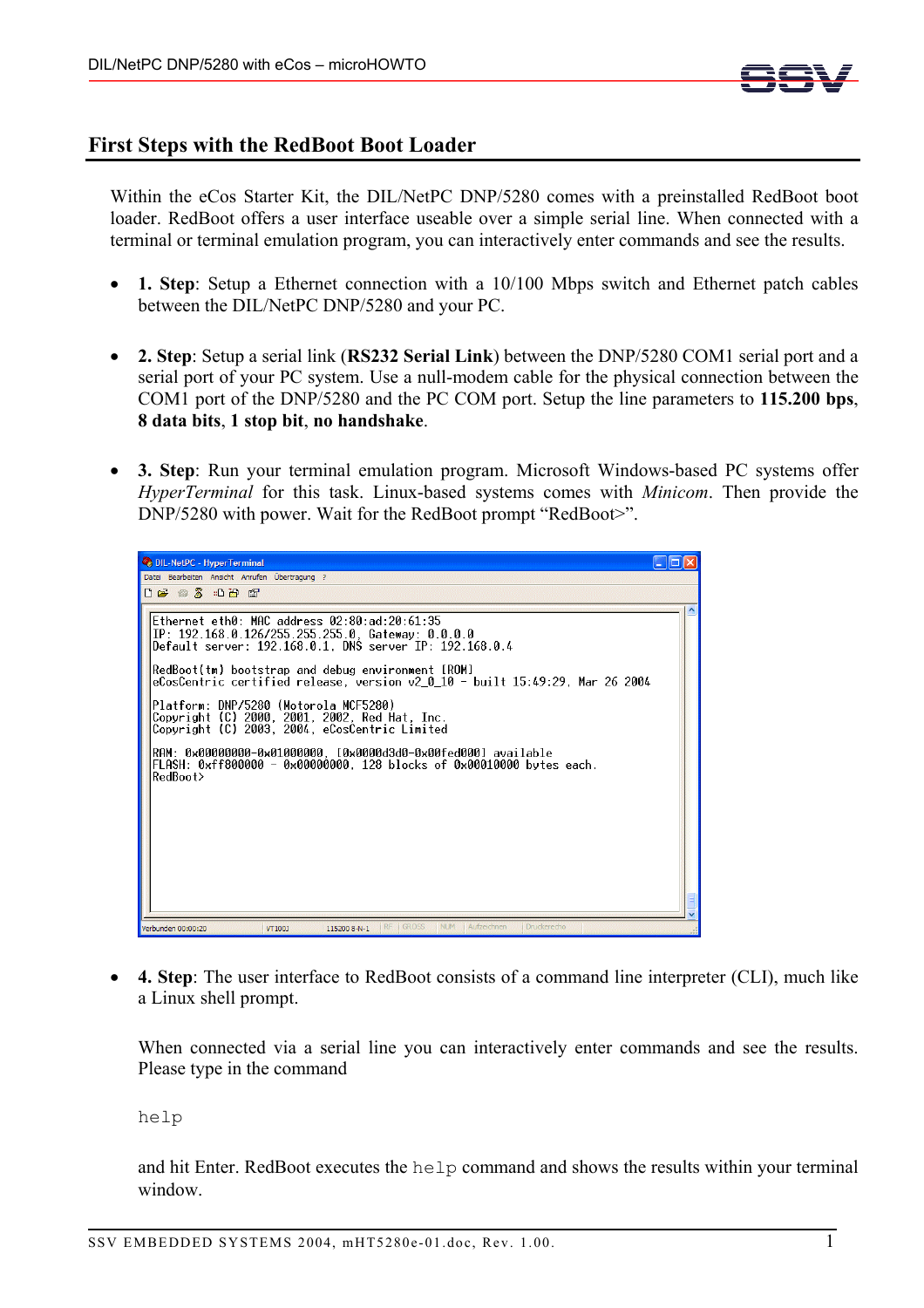

## **First Steps with the RedBoot Boot Loader**

Within the eCos Starter Kit, the DIL/NetPC DNP/5280 comes with a preinstalled RedBoot boot loader. RedBoot offers a user interface useable over a simple serial line. When connected with a terminal or terminal emulation program, you can interactively enter commands and see the results.

- **1. Step**: Setup a Ethernet connection with a 10/100 Mbps switch and Ethernet patch cables between the DIL/NetPC DNP/5280 and your PC.
- **2. Step**: Setup a serial link (**RS232 Serial Link**) between the DNP/5280 COM1 serial port and a serial port of your PC system. Use a null-modem cable for the physical connection between the COM1 port of the DNP/5280 and the PC COM port. Setup the line parameters to **115.200 bps**, **8 data bits**, **1 stop bit**, **no handshake**.
- **3. Step**: Run your terminal emulation program. Microsoft Windows-based PC systems offer *HyperTerminal* for this task. Linux-based systems comes with *Minicom*. Then provide the DNP/5280 with power. Wait for the RedBoot prompt "RedBoot>".



• **4. Step**: The user interface to RedBoot consists of a command line interpreter (CLI), much like a Linux shell prompt.

When connected via a serial line you can interactively enter commands and see the results. Please type in the command

help

and hit Enter. RedBoot executes the help command and shows the results within your terminal window.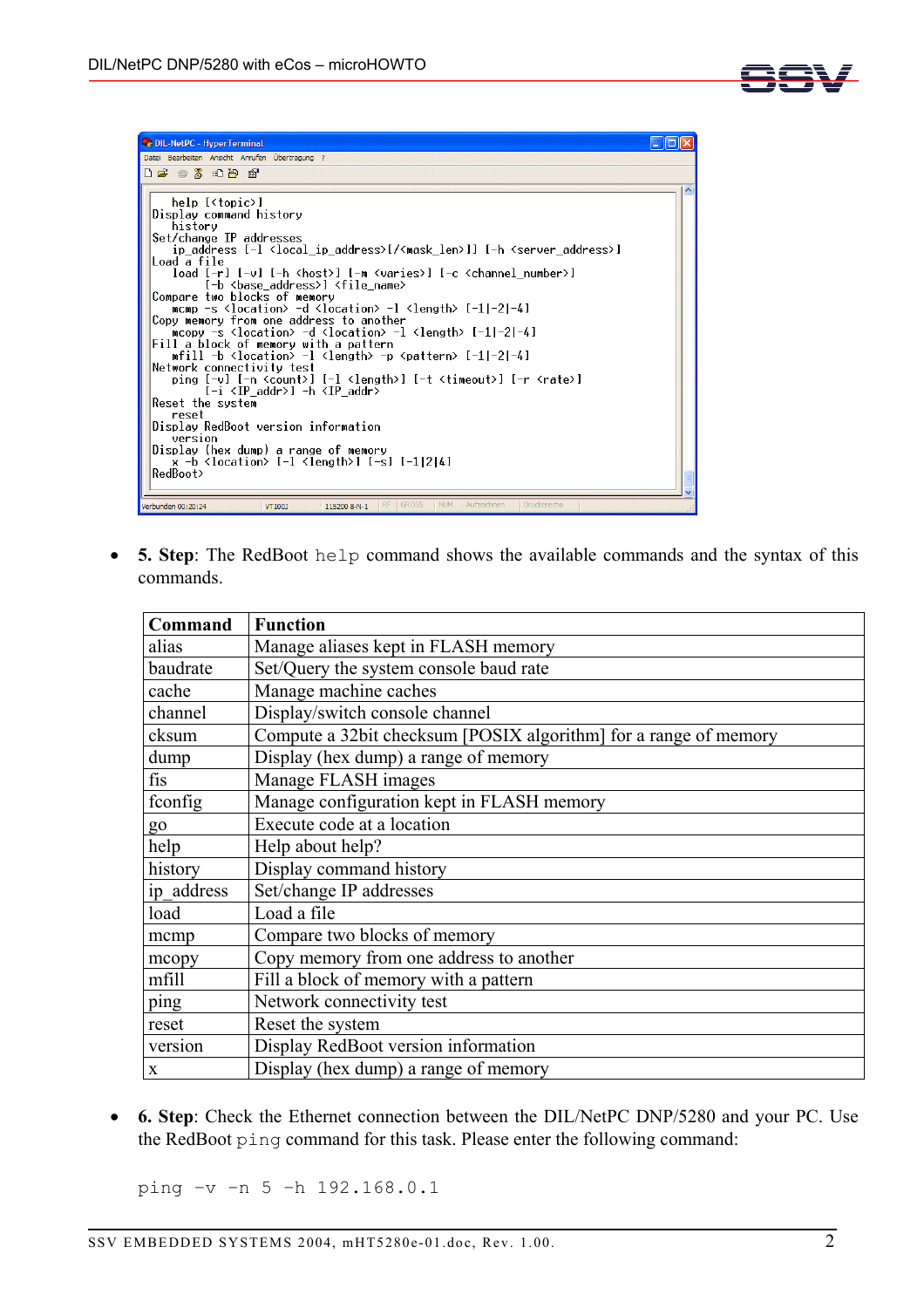

• **5. Step**: The RedBoot help command shows the available commands and the syntax of this commands.

| Command    | <b>Function</b>                                                  |
|------------|------------------------------------------------------------------|
| alias      | Manage aliases kept in FLASH memory                              |
| baudrate   | Set/Query the system console baud rate                           |
| cache      | Manage machine caches                                            |
| channel    | Display/switch console channel                                   |
| cksum      | Compute a 32bit checksum [POSIX algorithm] for a range of memory |
| dump       | Display (hex dump) a range of memory                             |
| fis        | Manage FLASH images                                              |
| fconfig    | Manage configuration kept in FLASH memory                        |
| go         | Execute code at a location                                       |
| help       | Help about help?                                                 |
| history    | Display command history                                          |
| ip address | Set/change IP addresses                                          |
| load       | Load a file                                                      |
| mcmp       | Compare two blocks of memory                                     |
| mcopy      | Copy memory from one address to another                          |
| mfill      | Fill a block of memory with a pattern                            |
| ping       | Network connectivity test                                        |
| reset      | Reset the system                                                 |
| version    | Display RedBoot version information                              |
| X          | Display (hex dump) a range of memory                             |

• **6. Step**: Check the Ethernet connection between the DIL/NetPC DNP/5280 and your PC. Use the RedBoot ping command for this task. Please enter the following command:

ping –v –n 5 –h 192.168.0.1

SSV EMBEDDED SYSTEMS 2004, mHT5280e-01.doc, Rev. 1.00.